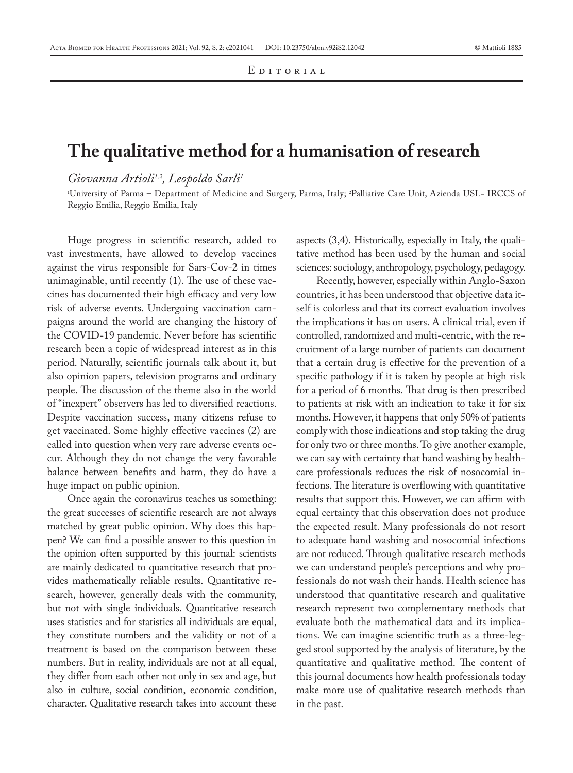## **The qualitative method for a humanisation of research**

*Giovanna Artioli1,2, Leopoldo Sarli1*

1 University of Parma – Department of Medicine and Surgery, Parma, Italy; 2 Palliative Care Unit, Azienda USL- IRCCS of Reggio Emilia, Reggio Emilia, Italy

Huge progress in scientific research, added to vast investments, have allowed to develop vaccines against the virus responsible for Sars-Cov-2 in times unimaginable, until recently (1). The use of these vaccines has documented their high efficacy and very low risk of adverse events. Undergoing vaccination campaigns around the world are changing the history of the COVID-19 pandemic. Never before has scientific research been a topic of widespread interest as in this period. Naturally, scientific journals talk about it, but also opinion papers, television programs and ordinary people. The discussion of the theme also in the world of "inexpert" observers has led to diversified reactions. Despite vaccination success, many citizens refuse to get vaccinated. Some highly effective vaccines (2) are called into question when very rare adverse events occur. Although they do not change the very favorable balance between benefits and harm, they do have a huge impact on public opinion.

Once again the coronavirus teaches us something: the great successes of scientific research are not always matched by great public opinion. Why does this happen? We can find a possible answer to this question in the opinion often supported by this journal: scientists are mainly dedicated to quantitative research that provides mathematically reliable results. Quantitative research, however, generally deals with the community, but not with single individuals. Quantitative research uses statistics and for statistics all individuals are equal, they constitute numbers and the validity or not of a treatment is based on the comparison between these numbers. But in reality, individuals are not at all equal, they differ from each other not only in sex and age, but also in culture, social condition, economic condition, character. Qualitative research takes into account these

aspects (3,4). Historically, especially in Italy, the qualitative method has been used by the human and social sciences: sociology, anthropology, psychology, pedagogy.

Recently, however, especially within Anglo-Saxon countries, it has been understood that objective data itself is colorless and that its correct evaluation involves the implications it has on users. A clinical trial, even if controlled, randomized and multi-centric, with the recruitment of a large number of patients can document that a certain drug is effective for the prevention of a specific pathology if it is taken by people at high risk for a period of 6 months. That drug is then prescribed to patients at risk with an indication to take it for six months. However, it happens that only 50% of patients comply with those indications and stop taking the drug for only two or three months. To give another example, we can say with certainty that hand washing by healthcare professionals reduces the risk of nosocomial infections. The literature is overflowing with quantitative results that support this. However, we can affirm with equal certainty that this observation does not produce the expected result. Many professionals do not resort to adequate hand washing and nosocomial infections are not reduced. Through qualitative research methods we can understand people's perceptions and why professionals do not wash their hands. Health science has understood that quantitative research and qualitative research represent two complementary methods that evaluate both the mathematical data and its implications. We can imagine scientific truth as a three-legged stool supported by the analysis of literature, by the quantitative and qualitative method. The content of this journal documents how health professionals today make more use of qualitative research methods than in the past.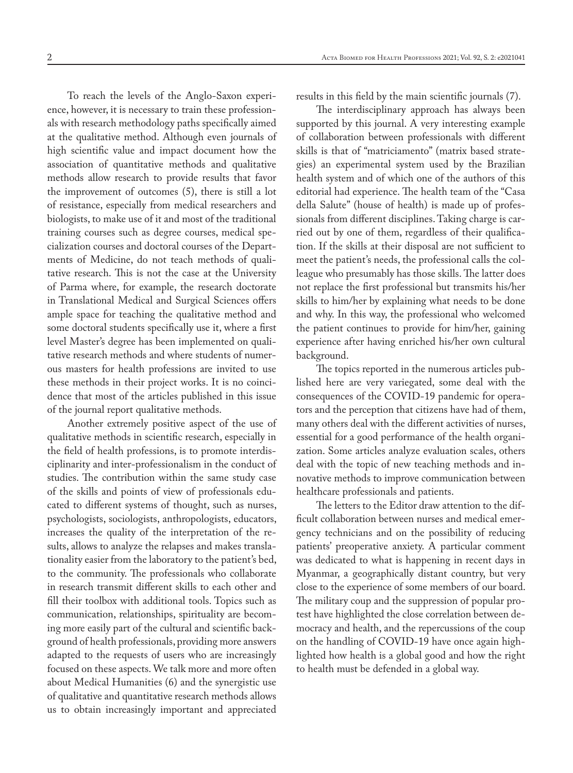To reach the levels of the Anglo-Saxon experience, however, it is necessary to train these professionals with research methodology paths specifically aimed at the qualitative method. Although even journals of high scientific value and impact document how the association of quantitative methods and qualitative methods allow research to provide results that favor the improvement of outcomes (5), there is still a lot of resistance, especially from medical researchers and biologists, to make use of it and most of the traditional training courses such as degree courses, medical specialization courses and doctoral courses of the Departments of Medicine, do not teach methods of qualitative research. This is not the case at the University of Parma where, for example, the research doctorate in Translational Medical and Surgical Sciences offers ample space for teaching the qualitative method and some doctoral students specifically use it, where a first level Master's degree has been implemented on qualitative research methods and where students of numerous masters for health professions are invited to use these methods in their project works. It is no coincidence that most of the articles published in this issue of the journal report qualitative methods.

Another extremely positive aspect of the use of qualitative methods in scientific research, especially in the field of health professions, is to promote interdisciplinarity and inter-professionalism in the conduct of studies. The contribution within the same study case of the skills and points of view of professionals educated to different systems of thought, such as nurses, psychologists, sociologists, anthropologists, educators, increases the quality of the interpretation of the results, allows to analyze the relapses and makes translationality easier from the laboratory to the patient's bed, to the community. The professionals who collaborate in research transmit different skills to each other and fill their toolbox with additional tools. Topics such as communication, relationships, spirituality are becoming more easily part of the cultural and scientific background of health professionals, providing more answers adapted to the requests of users who are increasingly focused on these aspects. We talk more and more often about Medical Humanities (6) and the synergistic use of qualitative and quantitative research methods allows us to obtain increasingly important and appreciated

results in this field by the main scientific journals (7).

The interdisciplinary approach has always been supported by this journal. A very interesting example of collaboration between professionals with different skills is that of "matriciamento" (matrix based strategies) an experimental system used by the Brazilian health system and of which one of the authors of this editorial had experience. The health team of the "Casa della Salute" (house of health) is made up of professionals from different disciplines. Taking charge is carried out by one of them, regardless of their qualification. If the skills at their disposal are not sufficient to meet the patient's needs, the professional calls the colleague who presumably has those skills. The latter does not replace the first professional but transmits his/her skills to him/her by explaining what needs to be done and why. In this way, the professional who welcomed the patient continues to provide for him/her, gaining experience after having enriched his/her own cultural background.

The topics reported in the numerous articles published here are very variegated, some deal with the consequences of the COVID-19 pandemic for operators and the perception that citizens have had of them, many others deal with the different activities of nurses, essential for a good performance of the health organization. Some articles analyze evaluation scales, others deal with the topic of new teaching methods and innovative methods to improve communication between healthcare professionals and patients.

The letters to the Editor draw attention to the difficult collaboration between nurses and medical emergency technicians and on the possibility of reducing patients' preoperative anxiety. A particular comment was dedicated to what is happening in recent days in Myanmar, a geographically distant country, but very close to the experience of some members of our board. The military coup and the suppression of popular protest have highlighted the close correlation between democracy and health, and the repercussions of the coup on the handling of COVID-19 have once again highlighted how health is a global good and how the right to health must be defended in a global way.